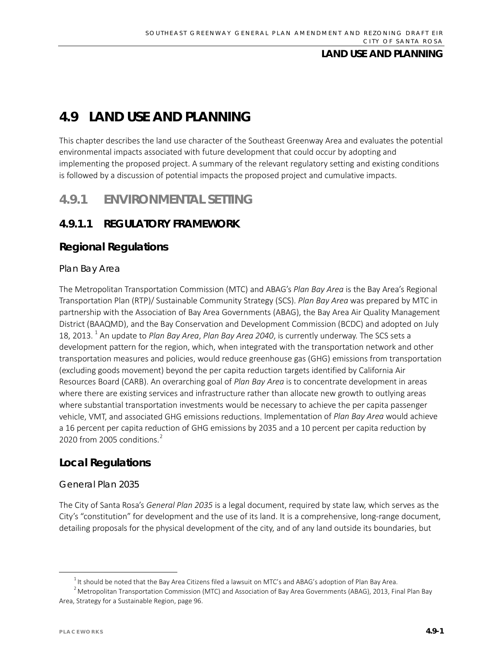# **4.9 LAND USE AND PLANNING**

This chapter describes the land use character of the Southeast Greenway Area and evaluates the potential environmental impacts associated with future development that could occur by adopting and implementing the proposed project. A summary of the relevant regulatory setting and existing conditions is followed by a discussion of potential impacts the proposed project and cumulative impacts.

## **4.9.1 ENVIRONMENTAL SETTING**

## **4.9.1.1 REGULATORY FRAMEWORK**

### **Regional Regulations**

### *Plan Bay Area*

The Metropolitan Transportation Commission (MTC) and ABAG's *Plan Bay Area* is the Bay Area's Regional Transportation Plan (RTP)/ Sustainable Community Strategy (SCS). *Plan Bay Area* was prepared by MTC in partnership with the Association of Bay Area Governments (ABAG), the Bay Area Air Quality Management District (BAAQMD), and the Bay Conservation and Development Commission (BCDC) and adopted on July 18, 2013. [1](#page-0-0) An update to *Plan Bay Area*, *Plan Bay Area 2040*, is currently underway. The SCS sets a development pattern for the region, which, when integrated with the transportation network and other transportation measures and policies, would reduce greenhouse gas (GHG) emissions from transportation (excluding goods movement) beyond the per capita reduction targets identified by California Air Resources Board (CARB). An overarching goal of *Plan Bay Area* is to concentrate development in areas where there are existing services and infrastructure rather than allocate new growth to outlying areas where substantial transportation investments would be necessary to achieve the per capita passenger vehicle, VMT, and associated GHG emissions reductions. Implementation of *Plan Bay Area* would achieve a 16 percent per capita reduction of GHG emissions by 2035 and a 10 percent per capita reduction by [2](#page-0-1)020 from 2005 conditions.<sup>2</sup>

### **Local Regulations**

### *General Plan 2035*

The City of Santa Rosa's *General Plan 2035* is a legal document, required by state law, which serves as the City's "constitution" for development and the use of its land. It is a comprehensive, long-range document, detailing proposals for the physical development of the city, and of any land outside its boundaries, but

 <sup>1</sup>  $1$ <sup>1</sup> It should be noted that the Bay Area Citizens filed a lawsuit on MTC's and ABAG's adoption of Plan Bay Area.

<span id="page-0-1"></span><span id="page-0-0"></span> $^2$  Metropolitan Transportation Commission (MTC) and Association of Bay Area Governments (ABAG), 2013, Final Plan Bay Area, Strategy for a Sustainable Region, page 96.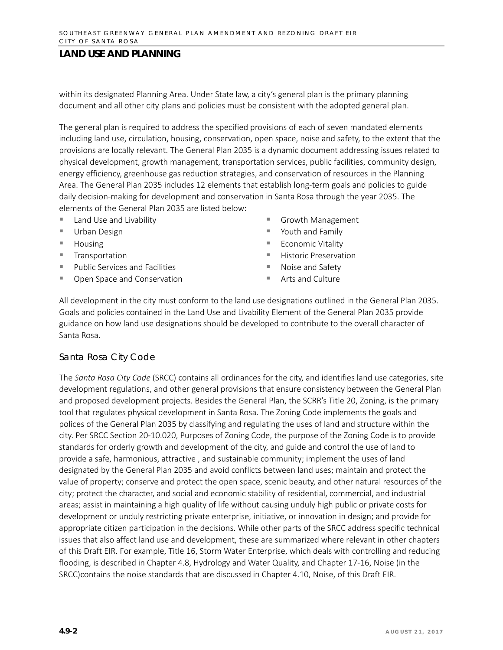within its designated Planning Area. Under State law, a city's general plan is the primary planning document and all other city plans and policies must be consistent with the adopted general plan.

The general plan is required to address the specified provisions of each of seven mandated elements including land use, circulation, housing, conservation, open space, noise and safety, to the extent that the provisions are locally relevant. The General Plan 2035 is a dynamic document addressing issues related to physical development, growth management, transportation services, public facilities, community design, energy efficiency, greenhouse gas reduction strategies, and conservation of resources in the Planning Area. The General Plan 2035 includes 12 elements that establish long-term goals and policies to guide daily decision-making for development and conservation in Santa Rosa through the year 2035. The elements of the General Plan 2035 are listed below:

- Land Use and Livability
- Urban Design
- Housing
- **Transportation**
- **Public Services and Facilities**
- Open Space and Conservation
- Growth Management
- Youth and Family
- **Economic Vitality**
- **Historic Preservation**
- Noise and Safety
- Arts and Culture

All development in the city must conform to the land use designations outlined in the General Plan 2035. Goals and policies contained in the Land Use and Livability Element of the General Plan 2035 provide guidance on how land use designations should be developed to contribute to the overall character of Santa Rosa.

#### *Santa Rosa City Code*

The *Santa Rosa City Code* (SRCC) contains all ordinances for the city, and identifies land use categories, site development regulations, and other general provisions that ensure consistency between the General Plan and proposed development projects. Besides the General Plan, the SCRR's Title 20, Zoning, is the primary tool that regulates physical development in Santa Rosa. The Zoning Code implements the goals and polices of the General Plan 2035 by classifying and regulating the uses of land and structure within the city. Per SRCC Section 20-10.020, Purposes of Zoning Code, the purpose of the Zoning Code is to provide standards for orderly growth and development of the city, and guide and control the use of land to provide a safe, harmonious, attractive , and sustainable community; implement the uses of land designated by the General Plan 2035 and avoid conflicts between land uses; maintain and protect the value of property; conserve and protect the open space, scenic beauty, and other natural resources of the city; protect the character, and social and economic stability of residential, commercial, and industrial areas; assist in maintaining a high quality of life without causing unduly high public or private costs for development or unduly restricting private enterprise, initiative, or innovation in design; and provide for appropriate citizen participation in the decisions. While other parts of the SRCC address specific technical issues that also affect land use and development, these are summarized where relevant in other chapters of this Draft EIR. For example, Title 16, Storm Water Enterprise, which deals with controlling and reducing flooding, is described in Chapter 4.8, Hydrology and Water Quality, and Chapter 17-16, Noise (in the SRCC)contains the noise standards that are discussed in Chapter 4.10, Noise, of this Draft EIR.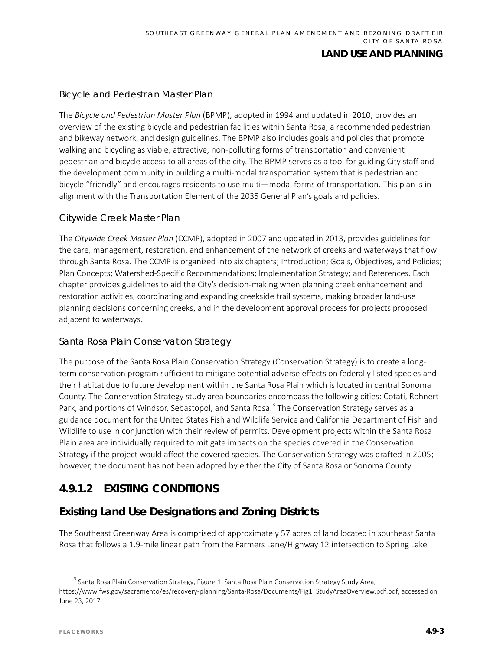### *Bicycle and Pedestrian Master Plan*

The *Bicycle and Pedestrian Master Plan* (BPMP), adopted in 1994 and updated in 2010, provides an overview of the existing bicycle and pedestrian facilities within Santa Rosa, a recommended pedestrian and bikeway network, and design guidelines. The BPMP also includes goals and policies that promote walking and bicycling as viable, attractive, non-polluting forms of transportation and convenient pedestrian and bicycle access to all areas of the city. The BPMP serves as a tool for guiding City staff and the development community in building a multi-modal transportation system that is pedestrian and bicycle "friendly" and encourages residents to use multi—modal forms of transportation. This plan is in alignment with the Transportation Element of the 2035 General Plan's goals and policies.

#### *Citywide Creek Master Plan*

The *Citywide Creek Master Plan* (CCMP), adopted in 2007 and updated in 2013, provides guidelines for the care, management, restoration, and enhancement of the network of creeks and waterways that flow through Santa Rosa. The CCMP is organized into six chapters; Introduction; Goals, Objectives, and Policies; Plan Concepts; Watershed-Specific Recommendations; Implementation Strategy; and References. Each chapter provides guidelines to aid the City's decision-making when planning creek enhancement and restoration activities, coordinating and expanding creekside trail systems, making broader land-use planning decisions concerning creeks, and in the development approval process for projects proposed adjacent to waterways.

### *Santa Rosa Plain Conservation Strategy*

The purpose of the Santa Rosa Plain Conservation Strategy (Conservation Strategy) is to create a longterm conservation program sufficient to mitigate potential adverse effects on federally listed species and their habitat due to future development within the Santa Rosa Plain which is located in central Sonoma County. The Conservation Strategy study area boundaries encompass the following cities: Cotati, Rohnert Park, and portions of Windsor, Sebastopol, and Santa Rosa.<sup>[3](#page-2-0)</sup> The Conservation Strategy serves as a guidance document for the United States Fish and Wildlife Service and California Department of Fish and Wildlife to use in conjunction with their review of permits. Development projects within the Santa Rosa Plain area are individually required to mitigate impacts on the species covered in the Conservation Strategy if the project would affect the covered species. The Conservation Strategy was drafted in 2005; however, the document has not been adopted by either the City of Santa Rosa or Sonoma County.

## **4.9.1.2 EXISTING CONDITIONS**

## **Existing Land Use Designations and Zoning Districts**

The Southeast Greenway Area is comprised of approximately 57 acres of land located in southeast Santa Rosa that follows a 1.9-mile linear path from the Farmers Lane/Highway 12 intersection to Spring Lake

<span id="page-2-0"></span><sup>&</sup>lt;sup>3</sup> Santa Rosa Plain Conservation Strategy, Figure 1, Santa Rosa Plain Conservation Strategy Study Area, [https://www.fws.gov/sacramento/es/recovery-planning/Santa-Rosa/Documents/Fig1\\_StudyAreaOverview.pdf.pdf,](https://www.fws.gov/sacramento/es/recovery-planning/Santa-Rosa/Documents/Fig1_StudyAreaOverview.pdf.pdf) accessed on June 23, 2017.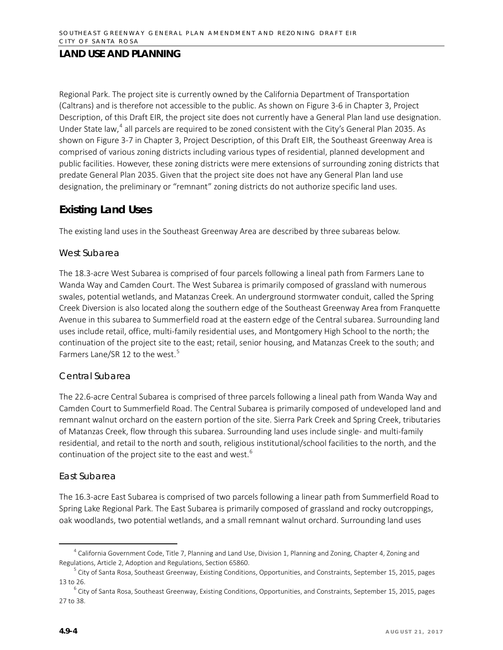Regional Park. The project site is currently owned by the California Department of Transportation (Caltrans) and is therefore not accessible to the public. As shown on Figure 3-6 in Chapter 3, Project Description, of this Draft EIR, the project site does not currently have a General Plan land use designation. Under State law,<sup>[4](#page-3-0)</sup> all parcels are required to be zoned consistent with the City's General Plan 2035. As shown on Figure 3-7 in Chapter 3, Project Description, of this Draft EIR, the Southeast Greenway Area is comprised of various zoning districts including various types of residential, planned development and public facilities. However, these zoning districts were mere extensions of surrounding zoning districts that predate General Plan 2035. Given that the project site does not have any General Plan land use designation, the preliminary or "remnant" zoning districts do not authorize specific land uses.

## **Existing Land Uses**

The existing land uses in the Southeast Greenway Area are described by three subareas below.

### *West Subarea*

The 18.3-acre West Subarea is comprised of four parcels following a lineal path from Farmers Lane to Wanda Way and Camden Court. The West Subarea is primarily composed of grassland with numerous swales, potential wetlands, and Matanzas Creek. An underground stormwater conduit, called the Spring Creek Diversion is also located along the southern edge of the Southeast Greenway Area from Franquette Avenue in this subarea to Summerfield road at the eastern edge of the Central subarea. Surrounding land uses include retail, office, multi-family residential uses, and Montgomery High School to the north; the continuation of the project site to the east; retail, senior housing, and Matanzas Creek to the south; and Farmers Lane/SR 12 to the west.<sup>[5](#page-3-1)</sup>

### *Central Subarea*

The 22.6-acre Central Subarea is comprised of three parcels following a lineal path from Wanda Way and Camden Court to Summerfield Road. The Central Subarea is primarily composed of undeveloped land and remnant walnut orchard on the eastern portion of the site. Sierra Park Creek and Spring Creek, tributaries of Matanzas Creek, flow through this subarea. Surrounding land uses include single- and multi-family residential, and retail to the north and south, religious institutional/school facilities to the north, and the continuation of the project site to the east and west.<sup>[6](#page-3-2)</sup>

### *East Subarea*

The 16.3-acre East Subarea is comprised of two parcels following a linear path from Summerfield Road to Spring Lake Regional Park. The East Subarea is primarily composed of grassland and rocky outcroppings, oak woodlands, two potential wetlands, and a small remnant walnut orchard. Surrounding land uses

<span id="page-3-0"></span> $4$  California Government Code, Title 7, Planning and Land Use, Division 1, Planning and Zoning, Chapter 4, Zoning and Regulations, Article 2, Adoption and Regulations, Section 65860.

<span id="page-3-1"></span> $5$  City of Santa Rosa, Southeast Greenway, Existing Conditions, Opportunities, and Constraints, September 15, 2015, pages

<span id="page-3-2"></span><sup>13</sup> to 26. 6 City of Santa Rosa, Southeast Greenway, Existing Conditions, Opportunities, and Constraints, September 15, 2015, pages 27 to 38.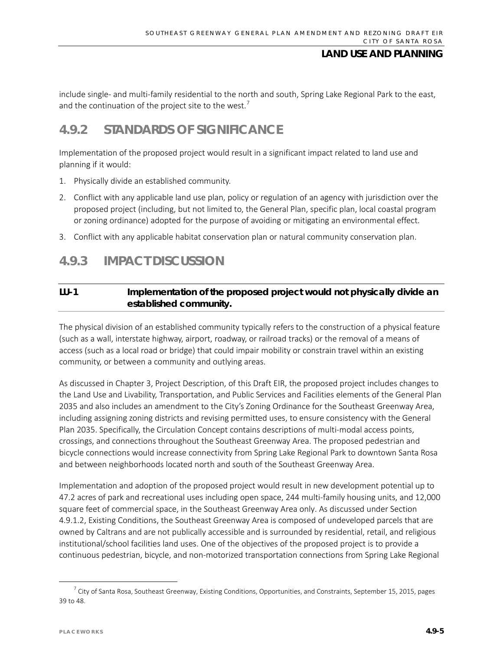include single- and multi-family residential to the north and south, Spring Lake Regional Park to the east, and the continuation of the project site to the west.<sup>[7](#page-4-0)</sup>

## **4.9.2 STANDARDS OF SIGNIFICANCE**

Implementation of the proposed project would result in a significant impact related to land use and planning if it would:

- 1. Physically divide an established community.
- 2. Conflict with any applicable land use plan, policy or regulation of an agency with jurisdiction over the proposed project (including, but not limited to, the General Plan, specific plan, local coastal program or zoning ordinance) adopted for the purpose of avoiding or mitigating an environmental effect.
- 3. Conflict with any applicable habitat conservation plan or natural community conservation plan.

## **4.9.3 IMPACT DISCUSSION**

### **LU-1 Implementation of the proposed project would not physically divide an established community.**

The physical division of an established community typically refers to the construction of a physical feature (such as a wall, interstate highway, airport, roadway, or railroad tracks) or the removal of a means of access (such as a local road or bridge) that could impair mobility or constrain travel within an existing community, or between a community and outlying areas.

As discussed in Chapter 3, Project Description, of this Draft EIR, the proposed project includes changes to the Land Use and Livability, Transportation, and Public Services and Facilities elements of the General Plan 2035 and also includes an amendment to the City's Zoning Ordinance for the Southeast Greenway Area, including assigning zoning districts and revising permitted uses, to ensure consistency with the General Plan 2035. Specifically, the Circulation Concept contains descriptions of multi-modal access points, crossings, and connections throughout the Southeast Greenway Area. The proposed pedestrian and bicycle connections would increase connectivity from Spring Lake Regional Park to downtown Santa Rosa and between neighborhoods located north and south of the Southeast Greenway Area.

Implementation and adoption of the proposed project would result in new development potential up to 47.2 acres of park and recreational uses including open space, 244 multi-family housing units, and 12,000 square feet of commercial space, in the Southeast Greenway Area only. As discussed under Section 4.9.1.2, Existing Conditions, the Southeast Greenway Area is composed of undeveloped parcels that are owned by Caltrans and are not publically accessible and is surrounded by residential, retail, and religious institutional/school facilities land uses. One of the objectives of the proposed project is to provide a continuous pedestrian, bicycle, and non-motorized transportation connections from Spring Lake Regional

<span id="page-4-0"></span> $^7$  City of Santa Rosa, Southeast Greenway, Existing Conditions, Opportunities, and Constraints, September 15, 2015, pages 39 to 48.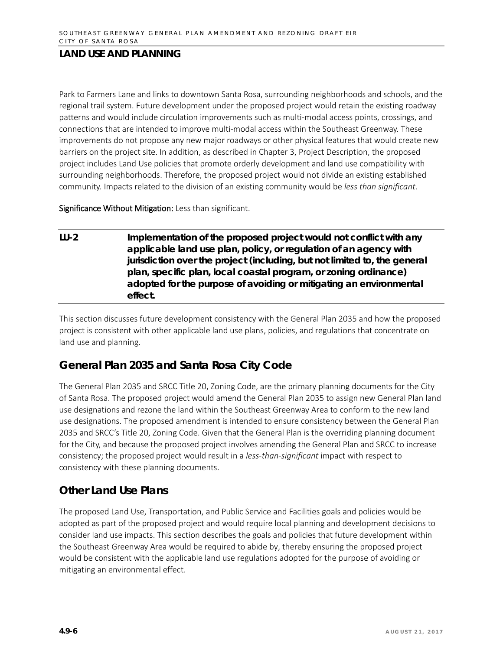Park to Farmers Lane and links to downtown Santa Rosa, surrounding neighborhoods and schools, and the regional trail system. Future development under the proposed project would retain the existing roadway patterns and would include circulation improvements such as multi-modal access points, crossings, and connections that are intended to improve multi-modal access within the Southeast Greenway. These improvements do not propose any new major roadways or other physical features that would create new barriers on the project site. In addition, as described in Chapter 3, Project Description, the proposed project includes Land Use policies that promote orderly development and land use compatibility with surrounding neighborhoods. Therefore, the proposed project would not divide an existing established community. Impacts related to the division of an existing community would be *less than significant*.

Significance Without Mitigation: Less than significant.

**LU-2 Implementation of the proposed project would not conflict with any applicable land use plan, policy, or regulation of an agency with jurisdiction over the project (including, but not limited to, the general plan, specific plan, local coastal program, or zoning ordinance) adopted for the purpose of avoiding or mitigating an environmental effect.**

This section discusses future development consistency with the General Plan 2035 and how the proposed project is consistent with other applicable land use plans, policies, and regulations that concentrate on land use and planning.

## **General Plan 2035 and Santa Rosa City Code**

The General Plan 2035 and SRCC Title 20, Zoning Code, are the primary planning documents for the City of Santa Rosa. The proposed project would amend the General Plan 2035 to assign new General Plan land use designations and rezone the land within the Southeast Greenway Area to conform to the new land use designations. The proposed amendment is intended to ensure consistency between the General Plan 2035 and SRCC's Title 20, Zoning Code. Given that the General Plan is the overriding planning document for the City, and because the proposed project involves amending the General Plan and SRCC to increase consistency; the proposed project would result in a *less-than-significant* impact with respect to consistency with these planning documents.

## **Other Land Use Plans**

The proposed Land Use, Transportation, and Public Service and Facilities goals and policies would be adopted as part of the proposed project and would require local planning and development decisions to consider land use impacts. This section describes the goals and policies that future development within the Southeast Greenway Area would be required to abide by, thereby ensuring the proposed project would be consistent with the applicable land use regulations adopted for the purpose of avoiding or mitigating an environmental effect.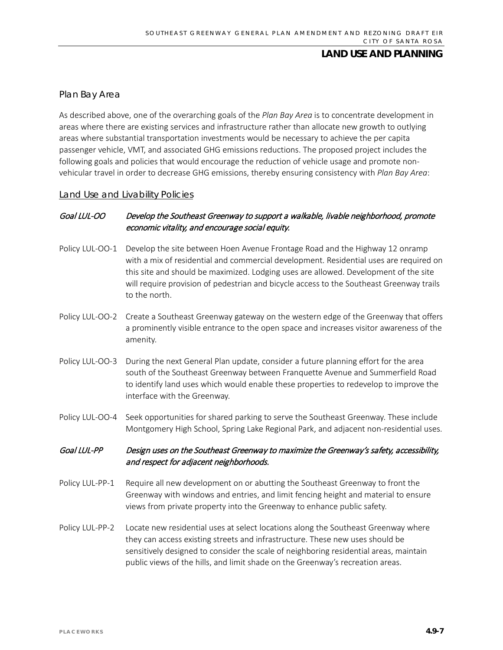### *Plan Bay Area*

As described above, one of the overarching goals of the *Plan Bay Area* is to concentrate development in areas where there are existing services and infrastructure rather than allocate new growth to outlying areas where substantial transportation investments would be necessary to achieve the per capita passenger vehicle, VMT, and associated GHG emissions reductions. The proposed project includes the following goals and policies that would encourage the reduction of vehicle usage and promote nonvehicular travel in order to decrease GHG emissions, thereby ensuring consistency with *Plan Bay Area*:

#### Land Use and Livability Policies

### Goal LUL-OO Develop the Southeast Greenway to support a walkable, livable neighborhood, promote economic vitality, and encourage social equity.

- Policy LUL-OO-1 Develop the site between Hoen Avenue Frontage Road and the Highway 12 onramp with a mix of residential and commercial development. Residential uses are required on this site and should be maximized. Lodging uses are allowed. Development of the site will require provision of pedestrian and bicycle access to the Southeast Greenway trails to the north.
- Policy LUL-OO-2 Create a Southeast Greenway gateway on the western edge of the Greenway that offers a prominently visible entrance to the open space and increases visitor awareness of the amenity.
- Policy LUL-OO-3 During the next General Plan update, consider a future planning effort for the area south of the Southeast Greenway between Franquette Avenue and Summerfield Road to identify land uses which would enable these properties to redevelop to improve the interface with the Greenway.
- Policy LUL-OO-4 Seek opportunities for shared parking to serve the Southeast Greenway. These include Montgomery High School, Spring Lake Regional Park, and adjacent non-residential uses.

### Goal LUL-PP Design uses on the Southeast Greenway to maximize the Greenway's safety, accessibility, and respect for adjacent neighborhoods.

- Policy LUL-PP-1 Require all new development on or abutting the Southeast Greenway to front the Greenway with windows and entries, and limit fencing height and material to ensure views from private property into the Greenway to enhance public safety.
- Policy LUL-PP-2 Locate new residential uses at select locations along the Southeast Greenway where they can access existing streets and infrastructure. These new uses should be sensitively designed to consider the scale of neighboring residential areas, maintain public views of the hills, and limit shade on the Greenway's recreation areas.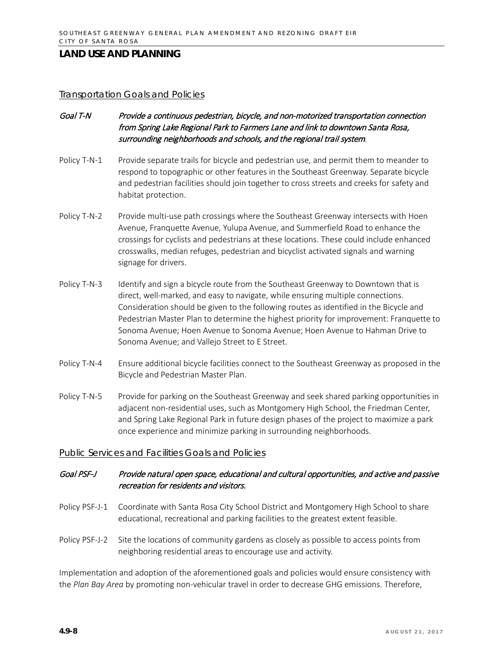#### Transportation Goals and Policies

- Goal T-N Provide a continuous pedestrian, bicycle, and non-motorized transportation connection from Spring Lake Regional Park to Farmers Lane and link to downtown Santa Rosa, surrounding neighborhoods and schools, and the regional trail system.
- Policy T-N-1 Provide separate trails for bicycle and pedestrian use, and permit them to meander to respond to topographic or other features in the Southeast Greenway. Separate bicycle and pedestrian facilities should join together to cross streets and creeks for safety and habitat protection.
- Policy T-N-2 Provide multi-use path crossings where the Southeast Greenway intersects with Hoen Avenue, Franquette Avenue, Yulupa Avenue, and Summerfield Road to enhance the crossings for cyclists and pedestrians at these locations. These could include enhanced crosswalks, median refuges, pedestrian and bicyclist activated signals and warning signage for drivers.
- Policy T-N-3 Identify and sign a bicycle route from the Southeast Greenway to Downtown that is direct, well-marked, and easy to navigate, while ensuring multiple connections. Consideration should be given to the following routes as identified in the Bicycle and Pedestrian Master Plan to determine the highest priority for improvement: Franquette to Sonoma Avenue; Hoen Avenue to Sonoma Avenue; Hoen Avenue to Hahman Drive to Sonoma Avenue; and Vallejo Street to E Street.
- Policy T-N-4 Ensure additional bicycle facilities connect to the Southeast Greenway as proposed in the Bicycle and Pedestrian Master Plan.
- Policy T-N-5 Provide for parking on the Southeast Greenway and seek shared parking opportunities in adjacent non-residential uses, such as Montgomery High School, the Friedman Center, and Spring Lake Regional Park in future design phases of the project to maximize a park once experience and minimize parking in surrounding neighborhoods.

#### Public Services and Facilities Goals and Policies

### Goal PSF-J Provide natural open space, educational and cultural opportunities, and active and passive recreation for residents and visitors.

- Policy PSF-J-1 Coordinate with Santa Rosa City School District and Montgomery High School to share educational, recreational and parking facilities to the greatest extent feasible.
- Policy PSF-J-2 Site the locations of community gardens as closely as possible to access points from neighboring residential areas to encourage use and activity.

Implementation and adoption of the aforementioned goals and policies would ensure consistency with the *Plan Bay Area* by promoting non-vehicular travel in order to decrease GHG emissions. Therefore,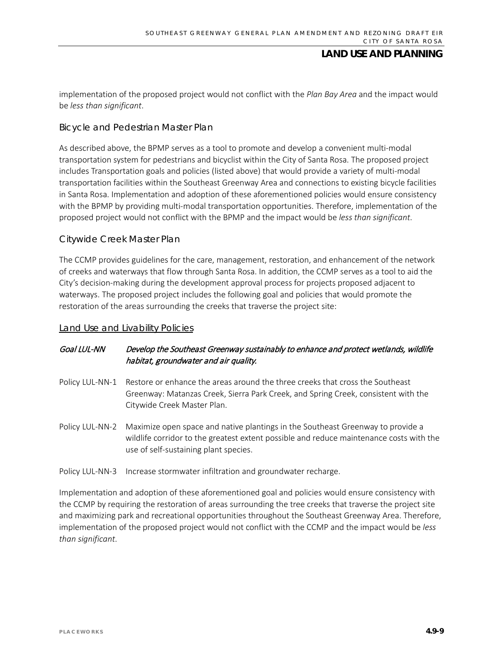implementation of the proposed project would not conflict with the *Plan Bay Area* and the impact would be *less than significant*.

#### *Bicycle and Pedestrian Master Plan*

As described above, the BPMP serves as a tool to promote and develop a convenient multi-modal transportation system for pedestrians and bicyclist within the City of Santa Rosa. The proposed project includes Transportation goals and policies (listed above) that would provide a variety of multi-modal transportation facilities within the Southeast Greenway Area and connections to existing bicycle facilities in Santa Rosa. Implementation and adoption of these aforementioned policies would ensure consistency with the BPMP by providing multi-modal transportation opportunities. Therefore, implementation of the proposed project would not conflict with the BPMP and the impact would be *less than significant*.

### *Citywide Creek Master Plan*

The CCMP provides guidelines for the care, management, restoration, and enhancement of the network of creeks and waterways that flow through Santa Rosa. In addition, the CCMP serves as a tool to aid the City's decision-making during the development approval process for projects proposed adjacent to waterways. The proposed project includes the following goal and policies that would promote the restoration of the areas surrounding the creeks that traverse the project site:

#### Land Use and Livability Policies

### Goal LUL-NN Develop the Southeast Greenway sustainably to enhance and protect wetlands, wildlife habitat, groundwater and air quality.

- Policy LUL-NN-1 Restore or enhance the areas around the three creeks that cross the Southeast Greenway: Matanzas Creek, Sierra Park Creek, and Spring Creek, consistent with the Citywide Creek Master Plan.
- Policy LUL-NN-2 Maximize open space and native plantings in the Southeast Greenway to provide a wildlife corridor to the greatest extent possible and reduce maintenance costs with the use of self-sustaining plant species.
- Policy LUL-NN-3 Increase stormwater infiltration and groundwater recharge.

Implementation and adoption of these aforementioned goal and policies would ensure consistency with the CCMP by requiring the restoration of areas surrounding the tree creeks that traverse the project site and maximizing park and recreational opportunities throughout the Southeast Greenway Area. Therefore, implementation of the proposed project would not conflict with the CCMP and the impact would be *less than significant*.